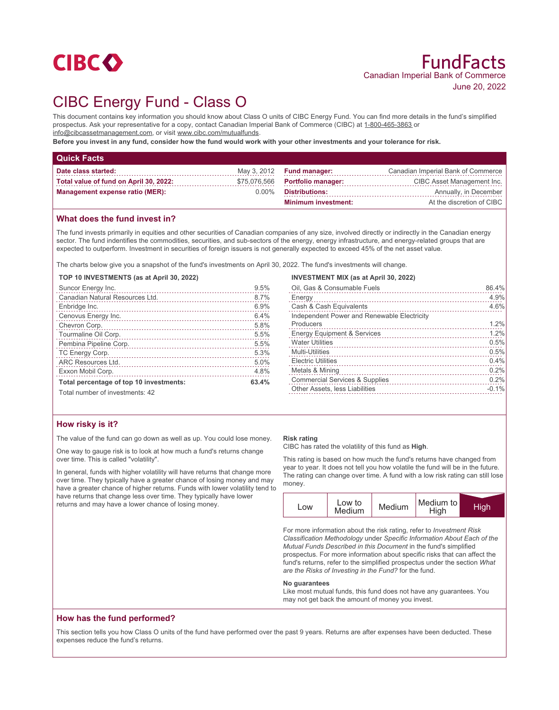

# CIBC Energy Fund - Class O

This document contains key information you should know about Class O units of CIBC Energy Fund. You can find more details in the fund's simplified prospectus. Ask your representative for a copy, contact Canadian Imperial Bank of Commerce (CIBC) at 1-800-465-3863 or info@cibcassetmanagement.com, or visit www.cibc.com/mutualfunds.

**Before you invest in any fund, consider how the fund would work with your other investments and your tolerance for risk.**

| <b>Quick Facts</b>                                 |  |                                  |                                    |
|----------------------------------------------------|--|----------------------------------|------------------------------------|
| Date class started:                                |  | May 3, 2012 <b>Fund manager:</b> | Canadian Imperial Bank of Commerce |
| Total value of fund on April 30, 2022:             |  | \$75,076,566 Portfolio manager:  | CIBC Asset Management Inc.         |
| <b>Management expense ratio (MER):</b><br>$0.00\%$ |  | <b>Distributions:</b>            | Annually, in December              |
|                                                    |  | <b>Minimum investment:</b>       | At the discretion of CIBC          |

## **What does the fund invest in?**

The fund invests primarily in equities and other securities of Canadian companies of any size, involved directly or indirectly in the Canadian energy sector. The fund indentifies the commodities, securities, and sub-sectors of the energy, energy infrastructure, and energy-related groups that are expected to outperform. Investment in securities of foreign issuers is not generally expected to exceed 45% of the net asset value.

The charts below give you a snapshot of the fund's investments on April 30, 2022. The fund's investments will change.

#### **TOP 10 INVESTMENTS (as at April 30, 2022)**

| Suncor Energy Inc.                      | 9.5%  |
|-----------------------------------------|-------|
| Canadian Natural Resources Ltd.         | 8.7%  |
| Enbridge Inc.                           | 6.9%  |
| Cenovus Energy Inc.                     | 6.4%  |
| Chevron Corp.                           | 5.8%  |
| Tourmaline Oil Corp.                    | 5.5%  |
| Pembina Pipeline Corp.                  | 5.5%  |
| TC Energy Corp.                         | 5.3%  |
| ARC Resources Ltd.                      | 5.0%  |
| Exxon Mobil Corp.                       | 4.8%  |
| Total percentage of top 10 investments: | 63.4% |
| Total number of investments: 42         |       |

#### **INVESTMENT MIX (as at April 30, 2022)**

| Oil, Gas & Consumable Fuels                 | 86.4%   |
|---------------------------------------------|---------|
| Energy                                      | 4.9%    |
| Cash & Cash Equivalents                     | 4.6%    |
| Independent Power and Renewable Electricity |         |
| Producers                                   | 1.2%    |
| <b>Energy Equipment &amp; Services</b>      | 1.2%    |
| <b>Water Utilities</b>                      | 0.5%    |
| <b>Multi-Utilities</b>                      | 0.5%    |
| <b>Electric Utilities</b>                   | 0.4%    |
| Metals & Mining                             | 0.2%    |
| <b>Commercial Services &amp; Supplies</b>   | 0.2%    |
| Other Assets, less Liabilities              | $-0.1%$ |
|                                             |         |

## **How risky is it?**

The value of the fund can go down as well as up. You could lose money.

One way to gauge risk is to look at how much a fund's returns change over time. This is called "volatility".

In general, funds with higher volatility will have returns that change more over time. They typically have a greater chance of losing money and may have a greater chance of higher returns. Funds with lower volatility tend to have returns that change less over time. They typically have lower returns and may have a lower chance of losing money.

#### **Risk rating**

CIBC has rated the volatility of this fund as **High**.

This rating is based on how much the fund's returns have changed from year to year. It does not tell you how volatile the fund will be in the future. The rating can change over time. A fund with a low risk rating can still lose money.

| ∟OW | Low to<br>Medium | Medium | Medium to<br>High | <b>High</b> |
|-----|------------------|--------|-------------------|-------------|

For more information about the risk rating, refer to *Investment Risk Classification Methodology* under *Specific Information About Each of the Mutual Funds Described in this Document* in the fund's simplified prospectus. For more information about specific risks that can affect the fund's returns, refer to the simplified prospectus under the section *What are the Risks of Investing in the Fund?* for the fund.

#### **No guarantees**

Like most mutual funds, this fund does not have any guarantees. You may not get back the amount of money you invest.

## **How has the fund performed?**

This section tells you how Class O units of the fund have performed over the past 9 years. Returns are after expenses have been deducted. These expenses reduce the fund's returns.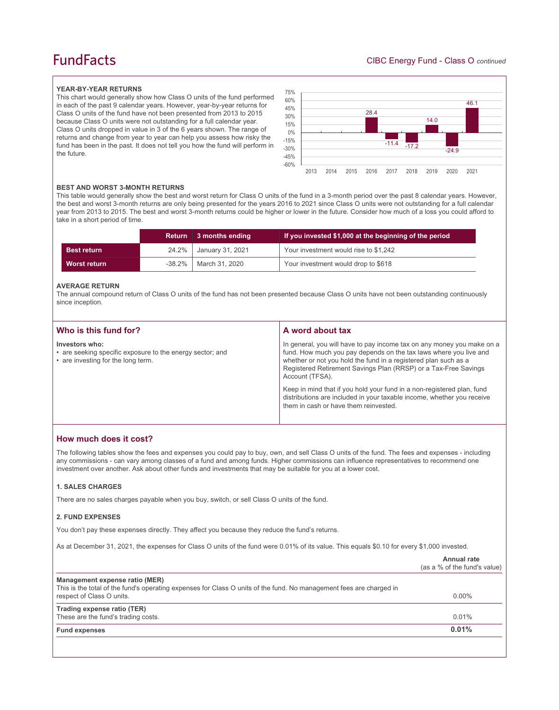## **FundFacts**

#### **YEAR-BY-YEAR RETURNS**

This chart would generally show how Class O units of the fund performed in each of the past 9 calendar years. However, year-by-year returns for Class O units of the fund have not been presented from 2013 to 2015 because Class O units were not outstanding for a full calendar year. Class O units dropped in value in 3 of the 6 years shown. The range of returns and change from year to year can help you assess how risky the fund has been in the past. It does not tell you how the fund will perform in the future.



#### **BEST AND WORST 3-MONTH RETURNS**

This table would generally show the best and worst return for Class O units of the fund in a 3-month period over the past 8 calendar years. However, the best and worst 3-month returns are only being presented for the years 2016 to 2021 since Class O units were not outstanding for a full calendar year from 2013 to 2015. The best and worst 3-month returns could be higher or lower in the future. Consider how much of a loss you could afford to take in a short period of time.

|                     | <b>Return</b> | 3 months ending  | If you invested \$1,000 at the beginning of the period |
|---------------------|---------------|------------------|--------------------------------------------------------|
| <b>Best return</b>  | 24.2%         | January 31, 2021 | Your investment would rise to \$1,242                  |
| <b>Worst return</b> | -38.2%        | March 31, 2020   | Your investment would drop to \$618                    |

#### **AVERAGE RETURN**

The annual compound return of Class O units of the fund has not been presented because Class O units have not been outstanding continuously since inception.

| Who is this fund for?                                                                                             | A word about tax                                                                                                                                                                                                                                                                                     |
|-------------------------------------------------------------------------------------------------------------------|------------------------------------------------------------------------------------------------------------------------------------------------------------------------------------------------------------------------------------------------------------------------------------------------------|
| Investors who:<br>• are seeking specific exposure to the energy sector; and<br>• are investing for the long term. | In general, you will have to pay income tax on any money you make on a<br>fund. How much you pay depends on the tax laws where you live and<br>whether or not you hold the fund in a registered plan such as a<br>Registered Retirement Savings Plan (RRSP) or a Tax-Free Savings<br>Account (TFSA). |
|                                                                                                                   | Keep in mind that if you hold your fund in a non-registered plan, fund<br>distributions are included in your taxable income, whether you receive<br>them in cash or have them reinvested.                                                                                                            |

## **How much does it cost?**

The following tables show the fees and expenses you could pay to buy, own, and sell Class O units of the fund. The fees and expenses - including any commissions - can vary among classes of a fund and among funds. Higher commissions can influence representatives to recommend one investment over another. Ask about other funds and investments that may be suitable for you at a lower cost.

## **1. SALES CHARGES**

There are no sales charges payable when you buy, switch, or sell Class O units of the fund.

#### **2. FUND EXPENSES**

You don't pay these expenses directly. They affect you because they reduce the fund's returns.

As at December 31, 2021, the expenses for Class O units of the fund were 0.01% of its value. This equals \$0.10 for every \$1,000 invested.

|                                                                                                                                                                                    | Annual rate<br>(as a % of the fund's value) |
|------------------------------------------------------------------------------------------------------------------------------------------------------------------------------------|---------------------------------------------|
| Management expense ratio (MER)<br>This is the total of the fund's operating expenses for Class O units of the fund. No management fees are charged in<br>respect of Class O units. | $0.00\%$                                    |
| Trading expense ratio (TER)<br>These are the fund's trading costs.                                                                                                                 | $0.01\%$                                    |
| <b>Fund expenses</b>                                                                                                                                                               | 0.01%                                       |